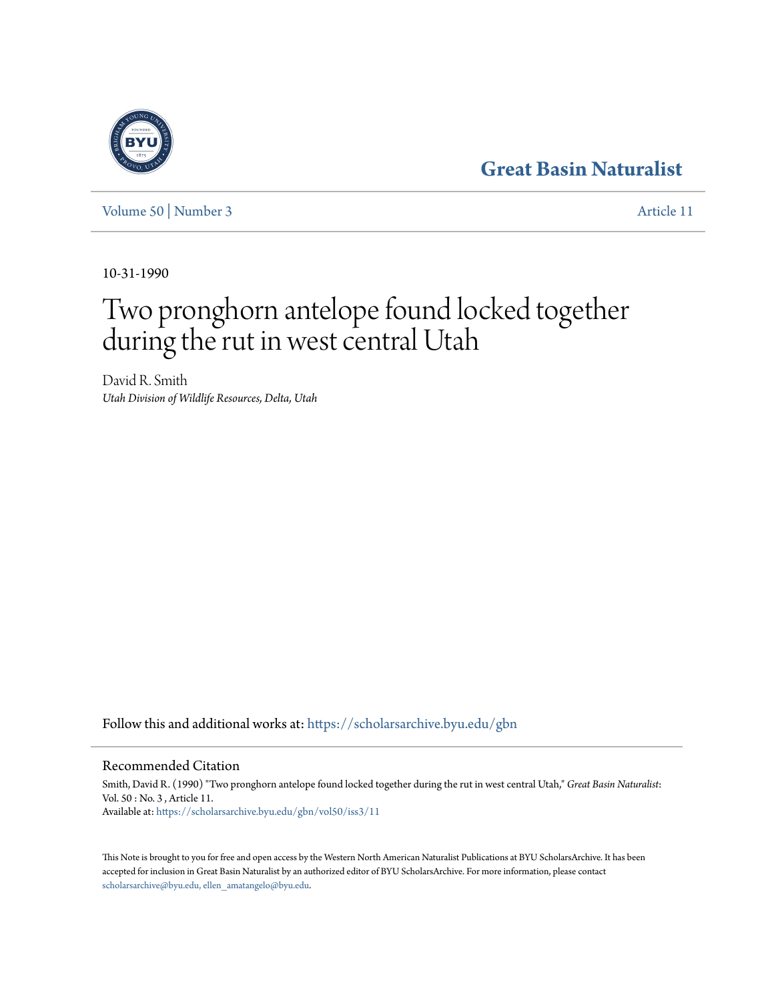### **[Great Basin Naturalist](https://scholarsarchive.byu.edu/gbn?utm_source=scholarsarchive.byu.edu%2Fgbn%2Fvol50%2Fiss3%2F11&utm_medium=PDF&utm_campaign=PDFCoverPages)**

[Volume 50](https://scholarsarchive.byu.edu/gbn/vol50?utm_source=scholarsarchive.byu.edu%2Fgbn%2Fvol50%2Fiss3%2F11&utm_medium=PDF&utm_campaign=PDFCoverPages) | [Number 3](https://scholarsarchive.byu.edu/gbn/vol50/iss3?utm_source=scholarsarchive.byu.edu%2Fgbn%2Fvol50%2Fiss3%2F11&utm_medium=PDF&utm_campaign=PDFCoverPages) [Article 11](https://scholarsarchive.byu.edu/gbn/vol50/iss3/11?utm_source=scholarsarchive.byu.edu%2Fgbn%2Fvol50%2Fiss3%2F11&utm_medium=PDF&utm_campaign=PDFCoverPages)

10-31-1990

# Two pronghorn antelope found locked together during the rut in west central Utah

David R. Smith *Utah Division of Wildlife Resources, Delta, Utah*

Follow this and additional works at: [https://scholarsarchive.byu.edu/gbn](https://scholarsarchive.byu.edu/gbn?utm_source=scholarsarchive.byu.edu%2Fgbn%2Fvol50%2Fiss3%2F11&utm_medium=PDF&utm_campaign=PDFCoverPages)

#### Recommended Citation

Smith, David R. (1990) "Two pronghorn antelope found locked together during the rut in west central Utah," *Great Basin Naturalist*: Vol. 50 : No. 3 , Article 11. Available at: [https://scholarsarchive.byu.edu/gbn/vol50/iss3/11](https://scholarsarchive.byu.edu/gbn/vol50/iss3/11?utm_source=scholarsarchive.byu.edu%2Fgbn%2Fvol50%2Fiss3%2F11&utm_medium=PDF&utm_campaign=PDFCoverPages)

This Note is brought to you for free and open access by the Western North American Naturalist Publications at BYU ScholarsArchive. It has been accepted for inclusion in Great Basin Naturalist by an authorized editor of BYU ScholarsArchive. For more information, please contact [scholarsarchive@byu.edu, ellen\\_amatangelo@byu.edu.](mailto:scholarsarchive@byu.edu,%20ellen_amatangelo@byu.edu)